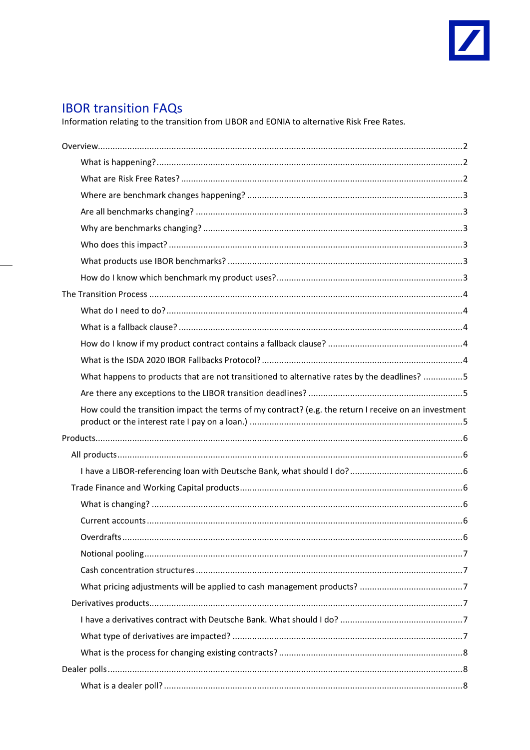

# **IBOR transition FAQs**

Information relating to the transition from LIBOR and EONIA to alternative Risk Free Rates.

|  | What happens to products that are not transitioned to alternative rates by the deadlines? 5           |  |
|--|-------------------------------------------------------------------------------------------------------|--|
|  |                                                                                                       |  |
|  | How could the transition impact the terms of my contract? (e.g. the return I receive on an investment |  |
|  |                                                                                                       |  |
|  |                                                                                                       |  |
|  |                                                                                                       |  |
|  |                                                                                                       |  |
|  |                                                                                                       |  |
|  |                                                                                                       |  |
|  |                                                                                                       |  |
|  |                                                                                                       |  |
|  |                                                                                                       |  |
|  |                                                                                                       |  |
|  |                                                                                                       |  |
|  |                                                                                                       |  |
|  |                                                                                                       |  |
|  |                                                                                                       |  |
|  |                                                                                                       |  |
|  |                                                                                                       |  |
|  |                                                                                                       |  |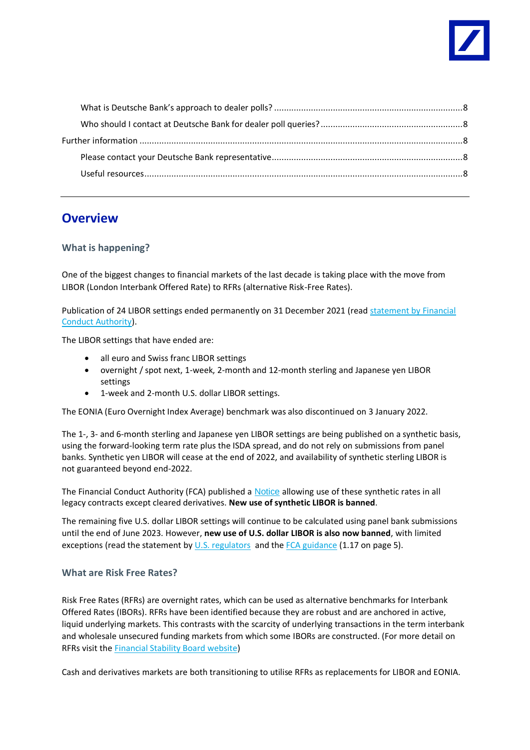

# <span id="page-1-0"></span>**Overview**

# <span id="page-1-1"></span>**What is happening?**

One of the biggest changes to financial markets of the last decade is taking place with the move from LIBOR (London Interbank Offered Rate) to RFRs (alternative Risk-Free Rates).

Publication of 24 LIBOR settings ended permanently on 31 December 2021 (read statement by Financial [Conduct Authority\)](https://www.fca.org.uk/news/news-stories/changes-libor-as-of-end-2021).

The LIBOR settings that have ended are:

- all euro and Swiss franc LIBOR settings
- overnight / spot next, 1-week, 2-month and 12-month sterling and Japanese yen LIBOR settings
- 1-week and 2-month U.S. dollar LIBOR settings.

The EONIA (Euro Overnight Index Average) benchmark was also discontinued on 3 January 2022.

The 1-, 3- and 6-month sterling and Japanese yen LIBOR settings are being published on a synthetic basis, using the forward-looking term rate plus the ISDA spread, and do not rely on submissions from panel banks. Synthetic yen LIBOR will cease at the end of 2022, and availability of synthetic sterling LIBOR is not guaranteed beyond end-2022.

The Financial Conduct Authority (FCA) published a [Notice](https://www.fca.org.uk/publication/libor-notices/article-23c-benchmarks-regulation.pdf) allowing use of these synthetic rates in all legacy contracts except cleared derivatives. **New use of synthetic LIBOR is banned**.

The remaining five U.S. dollar LIBOR settings will continue to be calculated using panel bank submissions until the end of June 2023. However, **new use of U.S. dollar LIBOR is also now banned**, with limited exceptions (read the statement b[y U.S. regulators](https://www.federalreserve.gov/newsevents/pressreleases/files/bcreg20201130a1.pdf) and the FCA [guidance](https://www.fca.org.uk/publication/consultation/cp21-29.pdf) (1.17 on page 5).

## <span id="page-1-2"></span>**What are Risk Free Rates?**

Risk Free Rates (RFRs) are overnight rates, which can be used as alternative benchmarks for Interbank Offered Rates (IBORs). RFRs have been identified because they are robust and are anchored in active, liquid underlying markets. This contrasts with the scarcity of underlying transactions in the term interbank and wholesale unsecured funding markets from which some IBORs are constructed. (For more detail on RFRs visit th[e Financial Stability Board website\)](https://www.fsb.org/2019/06/overnight-risk-free-rates-a-users-guide/)

Cash and derivatives markets are both transitioning to utilise RFRs as replacements for LIBOR and EONIA.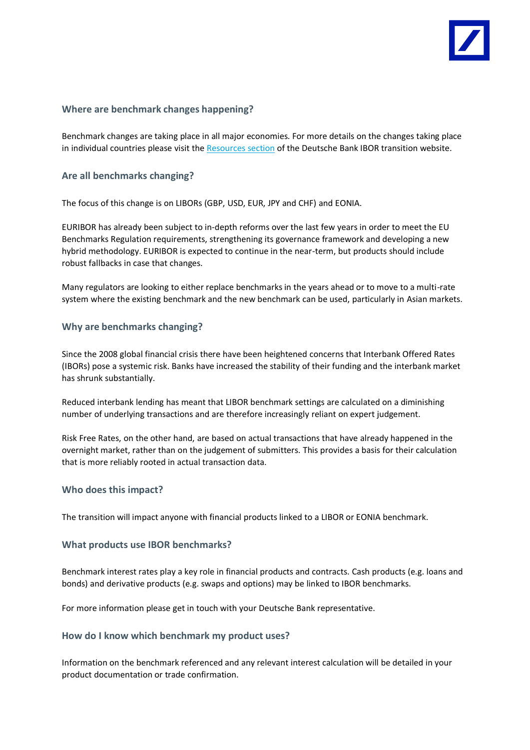

## <span id="page-2-0"></span>**Where are benchmark changes happening?**

Benchmark changes are taking place in all major economies. For more details on the changes taking place in individual countries please visit the [Resources section](https://www.db.com/legal-resources/ibor-transition/ibor-transition-resources) of the Deutsche Bank IBOR transition website.

## <span id="page-2-1"></span>**Are all benchmarks changing?**

The focus of this change is on LIBORs (GBP, USD, EUR, JPY and CHF) and EONIA.

EURIBOR has already been subject to in-depth reforms over the last few years in order to meet the EU Benchmarks Regulation requirements, strengthening its governance framework and developing a new hybrid methodology. EURIBOR is expected to continue in the near-term, but products should include robust fallbacks in case that changes.

Many regulators are looking to either replace benchmarks in the years ahead or to move to a multi-rate system where the existing benchmark and the new benchmark can be used, particularly in Asian markets.

## <span id="page-2-2"></span>**Why are benchmarks changing?**

Since the 2008 global financial crisis there have been heightened concerns that Interbank Offered Rates (IBORs) pose a systemic risk. Banks have increased the stability of their funding and the interbank market has shrunk substantially.

Reduced interbank lending has meant that LIBOR benchmark settings are calculated on a diminishing number of underlying transactions and are therefore increasingly reliant on expert judgement.

Risk Free Rates, on the other hand, are based on actual transactions that have already happened in the overnight market, rather than on the judgement of submitters. This provides a basis for their calculation that is more reliably rooted in actual transaction data.

## <span id="page-2-3"></span>**Who does this impact?**

<span id="page-2-4"></span>The transition will impact anyone with financial products linked to a LIBOR or EONIA benchmark.

## **What products use IBOR benchmarks?**

Benchmark interest rates play a key role in financial products and contracts. Cash products (e.g. loans and bonds) and derivative products (e.g. swaps and options) may be linked to IBOR benchmarks.

<span id="page-2-5"></span>For more information please get in touch with your Deutsche Bank representative.

## **How do I know which benchmark my product uses?**

Information on the benchmark referenced and any relevant interest calculation will be detailed in your product documentation or trade confirmation.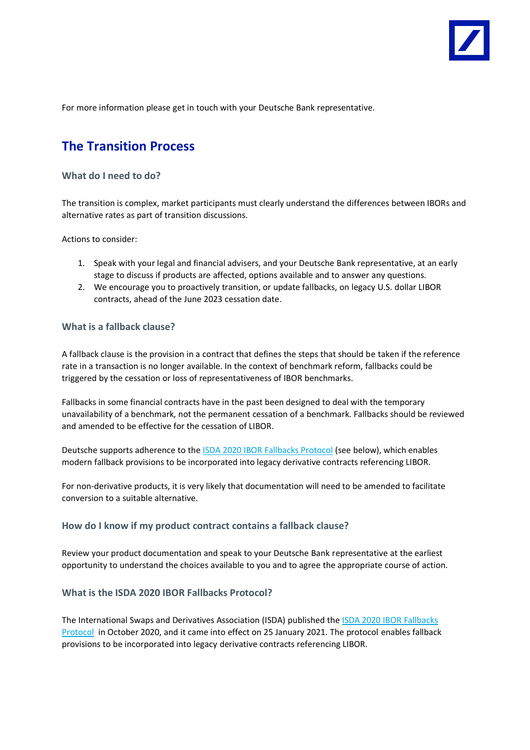

For more information please get in touch with your Deutsche Bank representative.

# <span id="page-3-0"></span>**The Transition Process**

#### <span id="page-3-1"></span>**What do I need to do?**

The transition is complex, market participants must clearly understand the differences between IBORs and alternative rates as part of transition discussions.

Actions to consider:

- 1. Speak with your legal and financial advisers, and your Deutsche Bank representative, at an early stage to discuss if products are affected, options available and to answer any questions.
- 2. We encourage you to proactively transition, or update fallbacks, on legacy U.S. dollar LIBOR contracts, ahead of the June 2023 cessation date.

#### <span id="page-3-2"></span>**What is a fallback clause?**

A fallback clause is the provision in a contract that defines the steps that should be taken if the reference rate in a transaction is no longer available. In the context of benchmark reform, fallbacks could be triggered by the cessation or loss of representativeness of IBOR benchmarks.

Fallbacks in some financial contracts have in the past been designed to deal with the temporary unavailability of a benchmark, not the permanent cessation of a benchmark. Fallbacks should be reviewed and amended to be effective for the cessation of LIBOR.

Deutsche supports adherence to th[e ISDA 2020 IBOR Fallbacks Protocol](https://www.isda.org/protocol/isda-2020-ibor-fallbacks-protocol/) (see below), which enables modern fallback provisions to be incorporated into legacy derivative contracts referencing LIBOR.

For non-derivative products, it is very likely that documentation will need to be amended to facilitate conversion to a suitable alternative.

#### <span id="page-3-3"></span>**How do I know if my product contract contains a fallback clause?**

Review your product documentation and speak to your Deutsche Bank representative at the earliest opportunity to understand the choices available to you and to agree the appropriate course of action.

#### <span id="page-3-4"></span>**What is the ISDA 2020 IBOR Fallbacks Protocol?**

The International Swaps and Derivatives Association (ISDA) published the [ISDA 2020 IBOR Fallbacks](https://www.isda.org/protocol/isda-2020-ibor-fallbacks-protocol/)  [Protocol](https://www.isda.org/protocol/isda-2020-ibor-fallbacks-protocol/) in October 2020, and it came into effect on 25 January 2021. The protocol enables fallback provisions to be incorporated into legacy derivative contracts referencing LIBOR.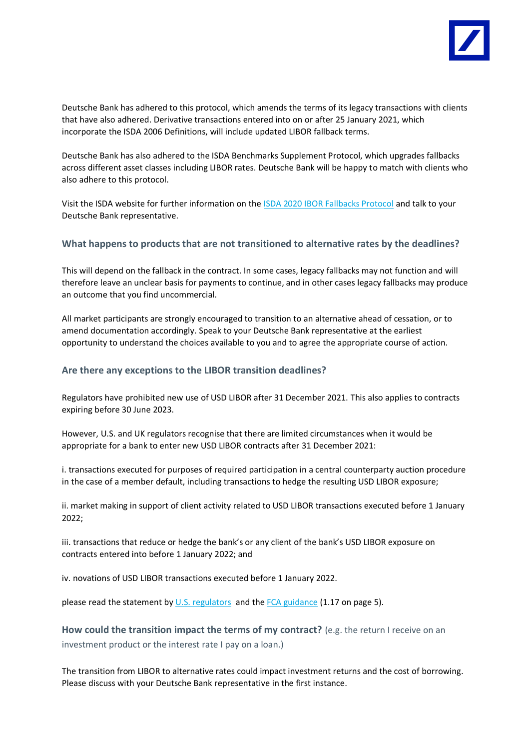

Deutsche Bank has adhered to this protocol, which amends the terms of its legacy transactions with clients that have also adhered. Derivative transactions entered into on or after 25 January 2021, which incorporate the ISDA 2006 Definitions, will include updated LIBOR fallback terms.

Deutsche Bank has also adhered to the ISDA Benchmarks Supplement Protocol, which upgrades fallbacks across different asset classes including LIBOR rates. Deutsche Bank will be happy to match with clients who also adhere to this protocol.

Visit the ISDA website for further information on th[e ISDA 2020 IBOR Fallbacks Protocol](https://www.isda.org/protocol/isda-2020-ibor-fallbacks-protocol/) and talk to your Deutsche Bank representative.

#### <span id="page-4-0"></span>**What happens to products that are not transitioned to alternative rates by the deadlines?**

This will depend on the fallback in the contract. In some cases, legacy fallbacks may not function and will therefore leave an unclear basis for payments to continue, and in other cases legacy fallbacks may produce an outcome that you find uncommercial.

All market participants are strongly encouraged to transition to an alternative ahead of cessation, or to amend documentation accordingly. Speak to your Deutsche Bank representative at the earliest opportunity to understand the choices available to you and to agree the appropriate course of action.

#### <span id="page-4-1"></span>**Are there any exceptions to the LIBOR transition deadlines?**

Regulators have prohibited new use of USD LIBOR after 31 December 2021. This also applies to contracts expiring before 30 June 2023.

However, U.S. and UK regulators recognise that there are limited circumstances when it would be appropriate for a bank to enter new USD LIBOR contracts after 31 December 2021:

i. transactions executed for purposes of required participation in a central counterparty auction procedure in the case of a member default, including transactions to hedge the resulting USD LIBOR exposure;

ii. market making in support of client activity related to USD LIBOR transactions executed before 1 January 2022;

iii. transactions that reduce or hedge the bank's or any client of the bank's USD LIBOR exposure on contracts entered into before 1 January 2022; and

iv. novations of USD LIBOR transactions executed before 1 January 2022.

<span id="page-4-2"></span>please read the statement by [U.S. regulators](https://www.federalreserve.gov/newsevents/pressreleases/files/bcreg20201130a1.pdf) and the FCA [guidance](https://www.fca.org.uk/publication/consultation/cp21-29.pdf) (1.17 on page 5).

**How could the transition impact the terms of my contract?** (e.g. the return I receive on an investment product or the interest rate I pay on a loan.)

The transition from LIBOR to alternative rates could impact investment returns and the cost of borrowing. Please discuss with your Deutsche Bank representative in the first instance.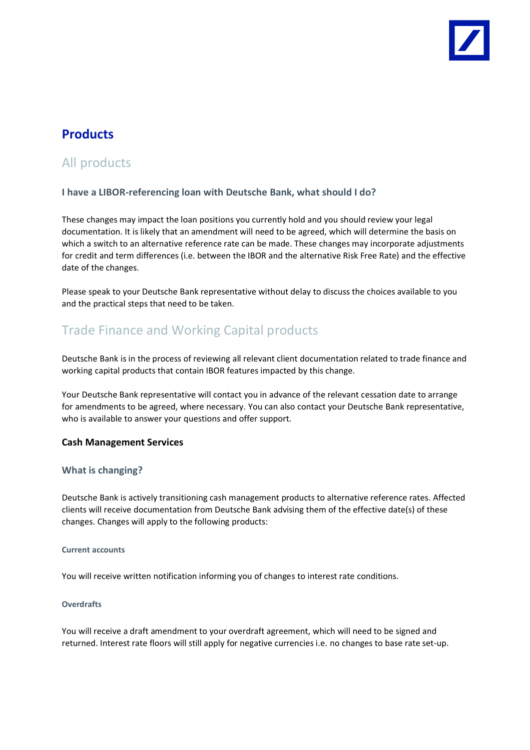

# <span id="page-5-0"></span>**Products**

# <span id="page-5-1"></span>All products

## <span id="page-5-2"></span>**I have a LIBOR-referencing loan with Deutsche Bank, what should I do?**

These changes may impact the loan positions you currently hold and you should review your legal documentation. It is likely that an amendment will need to be agreed, which will determine the basis on which a switch to an alternative reference rate can be made. These changes may incorporate adjustments for credit and term differences (i.e. between the IBOR and the alternative Risk Free Rate) and the effective date of the changes.

Please speak to your Deutsche Bank representative without delay to discuss the choices available to you and the practical steps that need to be taken.

# <span id="page-5-3"></span>Trade Finance and Working Capital products

Deutsche Bank is in the process of reviewing all relevant client documentation related to trade finance and working capital products that contain IBOR features impacted by this change.

Your Deutsche Bank representative will contact you in advance of the relevant cessation date to arrange for amendments to be agreed, where necessary. You can also contact your Deutsche Bank representative, who is available to answer your questions and offer support.

## <span id="page-5-4"></span>**Cash Management Services**

## **What is changing?**

Deutsche Bank is actively transitioning cash management products to alternative reference rates. Affected clients will receive documentation from Deutsche Bank advising them of the effective date(s) of these changes. Changes will apply to the following products:

#### <span id="page-5-5"></span>**Current accounts**

<span id="page-5-6"></span>You will receive written notification informing you of changes to interest rate conditions.

#### **Overdrafts**

You will receive a draft amendment to your overdraft agreement, which will need to be signed and returned. Interest rate floors will still apply for negative currencies i.e. no changes to base rate set-up.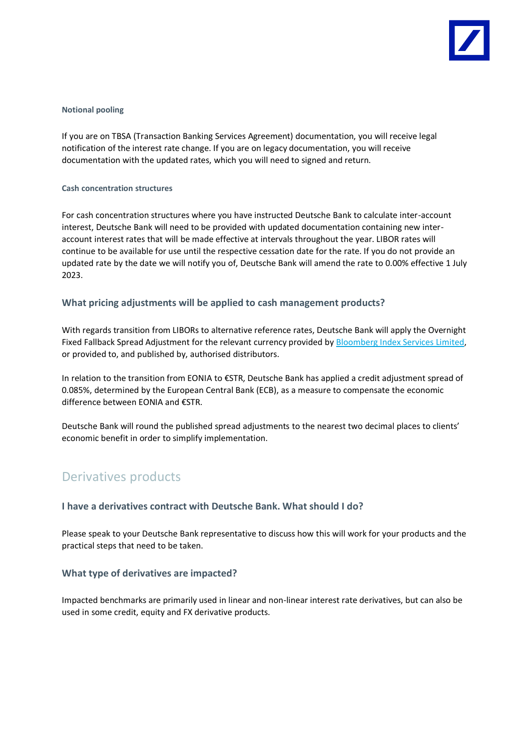

#### <span id="page-6-0"></span>**Notional pooling**

If you are on TBSA (Transaction Banking Services Agreement) documentation, you will receive legal notification of the interest rate change. If you are on legacy documentation, you will receive documentation with the updated rates, which you will need to signed and return.

#### <span id="page-6-1"></span>**Cash concentration structures**

For cash concentration structures where you have instructed Deutsche Bank to calculate inter-account interest, Deutsche Bank will need to be provided with updated documentation containing new interaccount interest rates that will be made effective at intervals throughout the year. LIBOR rates will continue to be available for use until the respective cessation date for the rate. If you do not provide an updated rate by the date we will notify you of, Deutsche Bank will amend the rate to 0.00% effective 1 July 2023.

## <span id="page-6-2"></span>**What pricing adjustments will be applied to cash management products?**

With regards transition from LIBORs to alternative reference rates, Deutsche Bank will apply the Overnight Fixed Fallback Spread Adjustment for the relevant currency provided b[y Bloomberg Index Services Limited,](https://www.bloomberg.com/professional/solution/libor-transition/) or provided to, and published by, authorised distributors.

In relation to the transition from EONIA to €STR, Deutsche Bank has applied a credit adjustment spread of 0.085%, determined by the European Central Bank (ECB), as a measure to compensate the economic difference between EONIA and €STR.

Deutsche Bank will round the published spread adjustments to the nearest two decimal places to clients' economic benefit in order to simplify implementation.

# <span id="page-6-3"></span>Derivatives products

#### <span id="page-6-4"></span>**I have a derivatives contract with Deutsche Bank. What should I do?**

Please speak to your Deutsche Bank representative to discuss how this will work for your products and the practical steps that need to be taken.

## <span id="page-6-5"></span>**What type of derivatives are impacted?**

Impacted benchmarks are primarily used in linear and non-linear interest rate derivatives, but can also be used in some credit, equity and FX derivative products.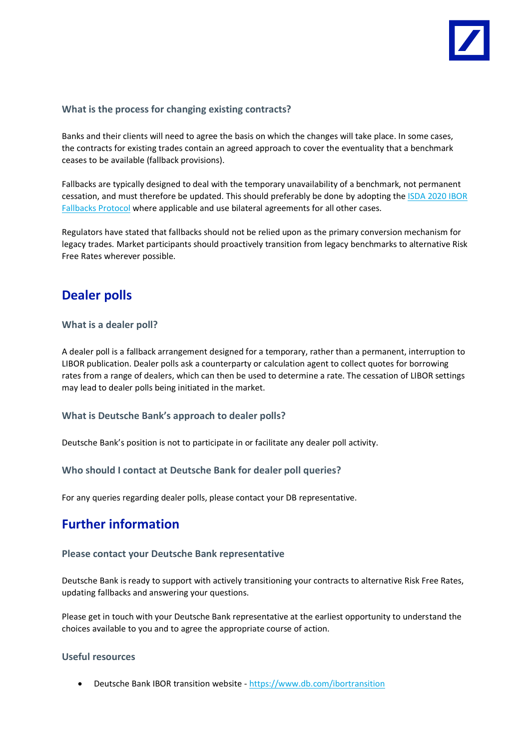

## <span id="page-7-0"></span>**What is the process for changing existing contracts?**

Banks and their clients will need to agree the basis on which the changes will take place. In some cases, the contracts for existing trades contain an agreed approach to cover the eventuality that a benchmark ceases to be available (fallback provisions).

Fallbacks are typically designed to deal with the temporary unavailability of a benchmark, not permanent cessation, and must therefore be updated. This should preferably be done by adopting the [ISDA 2020 IBOR](https://www.isda.org/protocol/isda-2020-ibor-fallbacks-protocol/)  [Fallbacks Protocol](https://www.isda.org/protocol/isda-2020-ibor-fallbacks-protocol/) where applicable and use bilateral agreements for all other cases.

Regulators have stated that fallbacks should not be relied upon as the primary conversion mechanism for legacy trades. Market participants should proactively transition from legacy benchmarks to alternative Risk Free Rates wherever possible.

# <span id="page-7-1"></span>**Dealer polls**

## <span id="page-7-2"></span>**What is a dealer poll?**

A dealer poll is a fallback arrangement designed for a temporary, rather than a permanent, interruption to LIBOR publication. Dealer polls ask a counterparty or calculation agent to collect quotes for borrowing rates from a range of dealers, which can then be used to determine a rate. The cessation of LIBOR settings may lead to dealer polls being initiated in the market.

## <span id="page-7-3"></span>**What is Deutsche Bank's approach to dealer polls?**

<span id="page-7-4"></span>Deutsche Bank's position is not to participate in or facilitate any dealer poll activity.

#### **Who should I contact at Deutsche Bank for dealer poll queries?**

<span id="page-7-5"></span>For any queries regarding dealer polls, please contact your DB representative.

# **Further information**

#### <span id="page-7-6"></span>**Please contact your Deutsche Bank representative**

Deutsche Bank is ready to support with actively transitioning your contracts to alternative Risk Free Rates, updating fallbacks and answering your questions.

Please get in touch with your Deutsche Bank representative at the earliest opportunity to understand the choices available to you and to agree the appropriate course of action.

#### <span id="page-7-7"></span>**Useful resources**

• Deutsche Bank IBOR transition website - <https://www.db.com/ibortransition>